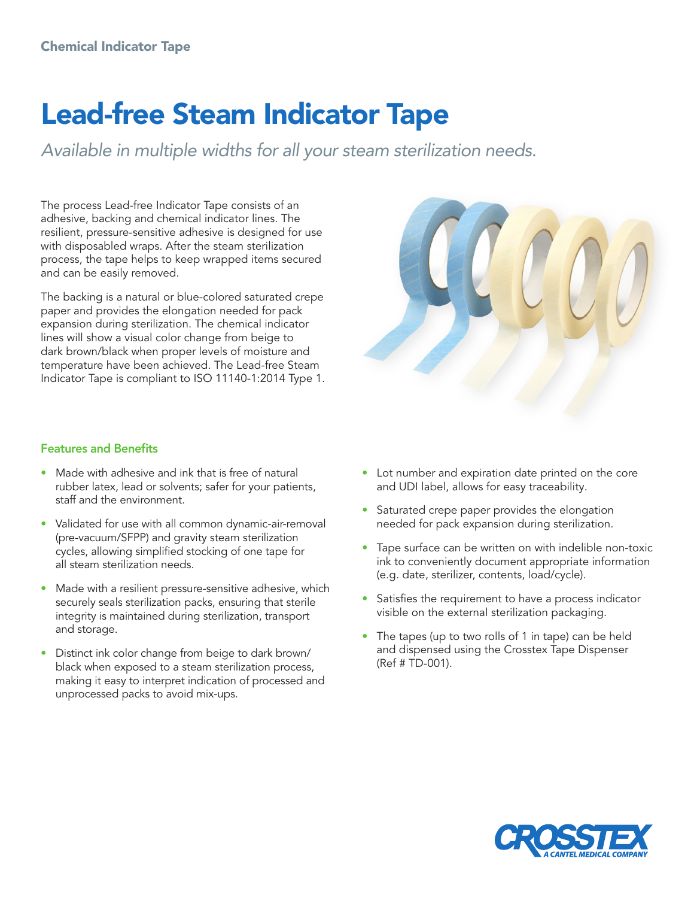## Lead-free Steam Indicator Tape

*Available in multiple widths for all your steam sterilization needs.*

The process Lead-free Indicator Tape consists of an adhesive, backing and chemical indicator lines. The resilient, pressure-sensitive adhesive is designed for use with disposabled wraps. After the steam sterilization process, the tape helps to keep wrapped items secured and can be easily removed.

The backing is a natural or blue-colored saturated crepe paper and provides the elongation needed for pack expansion during sterilization. The chemical indicator lines will show a visual color change from beige to dark brown/black when proper levels of moisture and temperature have been achieved. The Lead-free Steam Indicator Tape is compliant to ISO 11140-1:2014 Type 1.

## Features and Benefits

- Made with adhesive and ink that is free of natural rubber latex, lead or solvents; safer for your patients, staff and the environment.
- Validated for use with all common dynamic-air-removal (pre-vacuum/SFPP) and gravity steam sterilization cycles, allowing simplified stocking of one tape for all steam sterilization needs.
- Made with a resilient pressure-sensitive adhesive, which securely seals sterilization packs, ensuring that sterile integrity is maintained during sterilization, transport and storage.
- Distinct ink color change from beige to dark brown/ black when exposed to a steam sterilization process, making it easy to interpret indication of processed and unprocessed packs to avoid mix-ups.



- Lot number and expiration date printed on the core and UDI label, allows for easy traceability.
- Saturated crepe paper provides the elongation needed for pack expansion during sterilization.
- Tape surface can be written on with indelible non-toxic ink to conveniently document appropriate information (e.g. date, sterilizer, contents, load/cycle).
- Satisfies the requirement to have a process indicator visible on the external sterilization packaging.
- The tapes (up to two rolls of 1 in tape) can be held and dispensed using the Crosstex Tape Dispenser (Ref # TD-001).